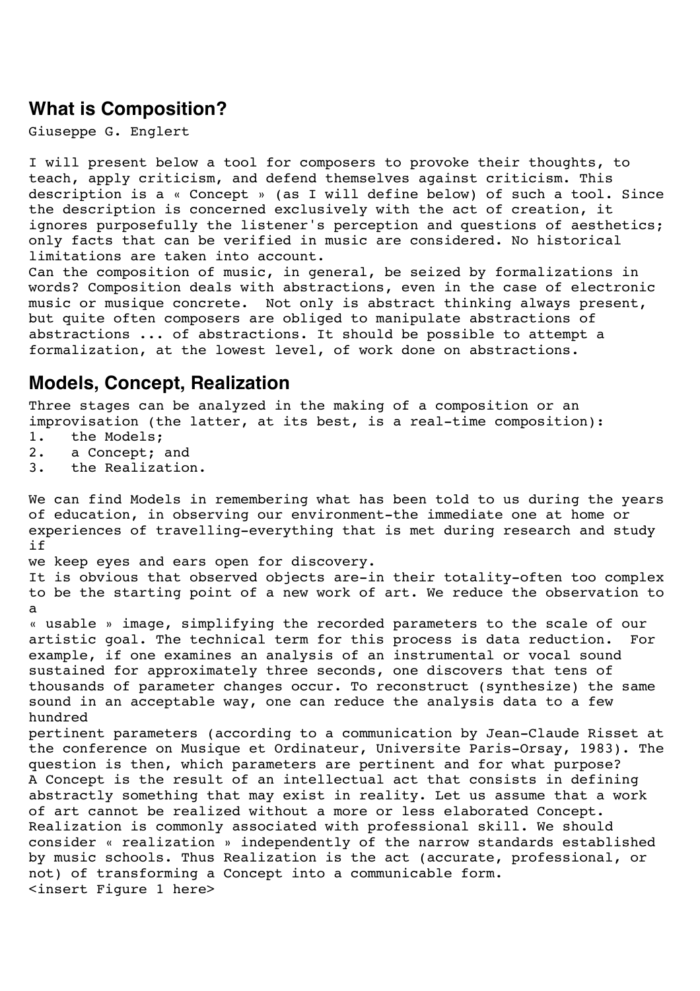## **What is Composition?**

Giuseppe G. Englert

I will present below a tool for composers to provoke their thoughts, to teach, apply criticism, and defend themselves against criticism. This description is a « Concept » (as I will define below) of such a tool. Since the description is concerned exclusively with the act of creation, it ignores purposefully the listener's perception and questions of aesthetics; only facts that can be verified in music are considered. No historical limitations are taken into account.

Can the composition of music, in general, be seized by formalizations in words? Composition deals with abstractions, even in the case of electronic music or musique concrete. Not only is abstract thinking always present, but quite often composers are obliged to manipulate abstractions of abstractions ... of abstractions. It should be possible to attempt a formalization, at the lowest level, of work done on abstractions.

## **Models, Concept, Realization**

Three stages can be analyzed in the making of a composition or an improvisation (the latter, at its best, is a real-time composition):

- 1. the Models;
- 2. a Concept; and
- 3. the Realization.

We can find Models in remembering what has been told to us during the years of education, in observing our environment-the immediate one at home or experiences of travelling-everything that is met during research and study if we keep eyes and ears open for discovery. It is obvious that observed objects are-in their totality-often too complex to be the starting point of a new work of art. We reduce the observation to a « usable » image, simplifying the recorded parameters to the scale of our artistic goal. The technical term for this process is data reduction. For example, if one examines an analysis of an instrumental or vocal sound sustained for approximately three seconds, one discovers that tens of thousands of parameter changes occur. To reconstruct (synthesize) the same sound in an acceptable way, one can reduce the analysis data to a few hundred pertinent parameters (according to a communication by Jean-Claude Risset at the conference on Musique et Ordinateur, Universite Paris-Orsay, 1983). The question is then, which parameters are pertinent and for what purpose? A Concept is the result of an intellectual act that consists in defining abstractly something that may exist in reality. Let us assume that a work of art cannot be realized without a more or less elaborated Concept. Realization is commonly associated with professional skill. We should consider « realization » independently of the narrow standards established by music schools. Thus Realization is the act (accurate, professional, or not) of transforming a Concept into a communicable form. <insert Figure 1 here>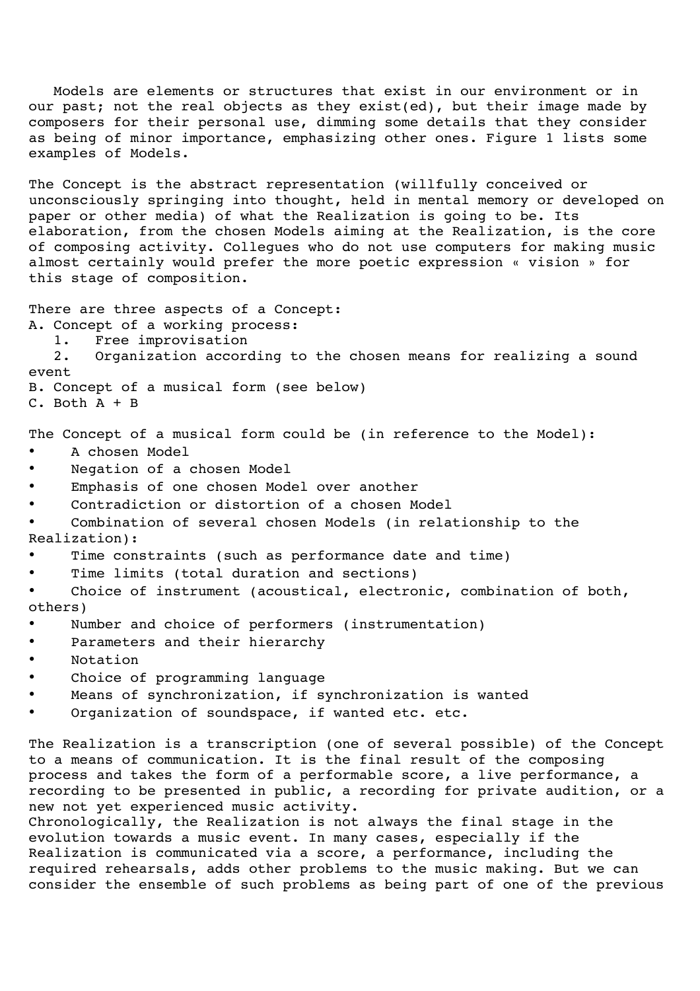Models are elements or structures that exist in our environment or in our past; not the real objects as they exist(ed), but their image made by composers for their personal use, dimming some details that they consider as being of minor importance, emphasizing other ones. Figure 1 lists some examples of Models.

The Concept is the abstract representation (willfully conceived or unconsciously springing into thought, held in mental memory or developed on paper or other media) of what the Realization is going to be. Its elaboration, from the chosen Models aiming at the Realization, is the core of composing activity. Collegues who do not use computers for making music almost certainly would prefer the more poetic expression « vision » for this stage of composition.

There are three aspects of a Concept:

- A. Concept of a working process:
	- 1. Free improvisation

2. Organization according to the chosen means for realizing a sound event

B. Concept of a musical form (see below)

C. Both A + B

The Concept of a musical form could be (in reference to the Model):

- A chosen Model
- Negation of a chosen Model
- Emphasis of one chosen Model over another
- Contradiction or distortion of a chosen Model
- Combination of several chosen Models (in relationship to the Realization):
- Time constraints (such as performance date and time)
- Time limits (total duration and sections)

• Choice of instrument (acoustical, electronic, combination of both, others)

- Number and choice of performers (instrumentation)
- Parameters and their hierarchy
- Notation
- Choice of programming language
- Means of synchronization, if synchronization is wanted
- Organization of soundspace, if wanted etc. etc.

The Realization is a transcription (one of several possible) of the Concept to a means of communication. It is the final result of the composing process and takes the form of a performable score, a live performance, a recording to be presented in public, a recording for private audition, or a new not yet experienced music activity.

Chronologically, the Realization is not always the final stage in the evolution towards a music event. In many cases, especially if the Realization is communicated via a score, a performance, including the required rehearsals, adds other problems to the music making. But we can consider the ensemble of such problems as being part of one of the previous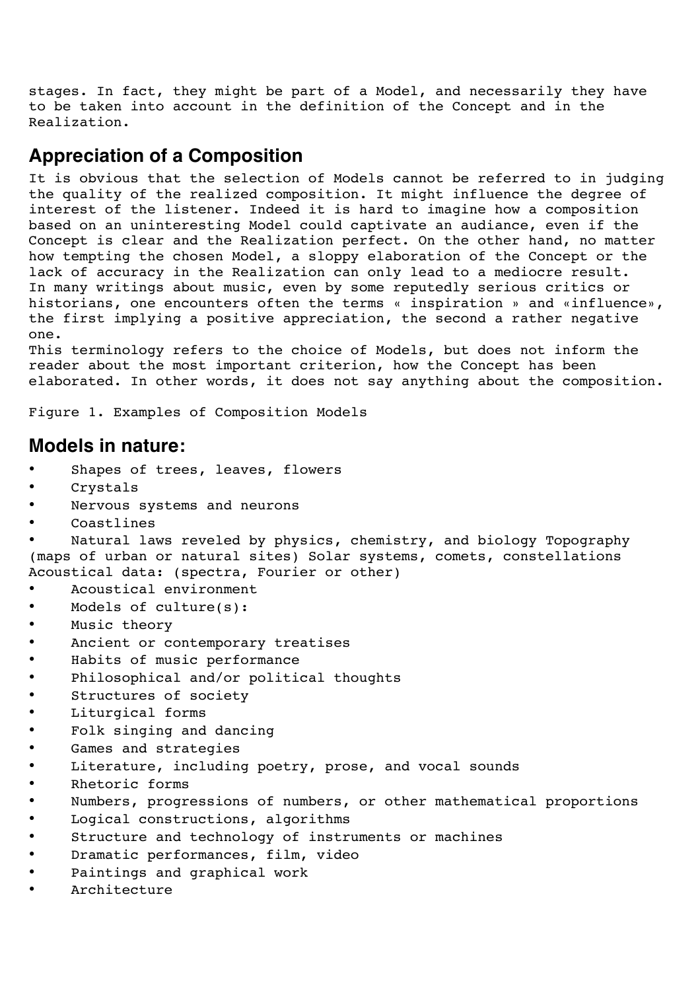stages. In fact, they might be part of a Model, and necessarily they have to be taken into account in the definition of the Concept and in the Realization.

## **Appreciation of a Composition**

It is obvious that the selection of Models cannot be referred to in judging the quality of the realized composition. It might influence the degree of interest of the listener. Indeed it is hard to imagine how a composition based on an uninteresting Model could captivate an audiance, even if the Concept is clear and the Realization perfect. On the other hand, no matter how tempting the chosen Model, a sloppy elaboration of the Concept or the lack of accuracy in the Realization can only lead to a mediocre result. In many writings about music, even by some reputedly serious critics or historians, one encounters often the terms « inspiration » and «influence», the first implying a positive appreciation, the second a rather negative one.

This terminology refers to the choice of Models, but does not inform the reader about the most important criterion, how the Concept has been elaborated. In other words, it does not say anything about the composition.

Figure 1. Examples of Composition Models

## **Models in nature:**

- Shapes of trees, leaves, flowers
- Crystals
- Nervous systems and neurons
- Coastlines

Natural laws reveled by physics, chemistry, and biology Topography (maps of urban or natural sites) Solar systems, comets, constellations Acoustical data: (spectra, Fourier or other)

- Acoustical environment
- Models of culture(s):
- Music theory
- Ancient or contemporary treatises
- Habits of music performance
- Philosophical and/or political thoughts
- Structures of society
- Liturgical forms
- Folk singing and dancing
- Games and strategies
- Literature, including poetry, prose, and vocal sounds
- Rhetoric forms
- Numbers, progressions of numbers, or other mathematical proportions
- Logical constructions, algorithms
- Structure and technology of instruments or machines
- Dramatic performances, film, video
- Paintings and graphical work
- Architecture